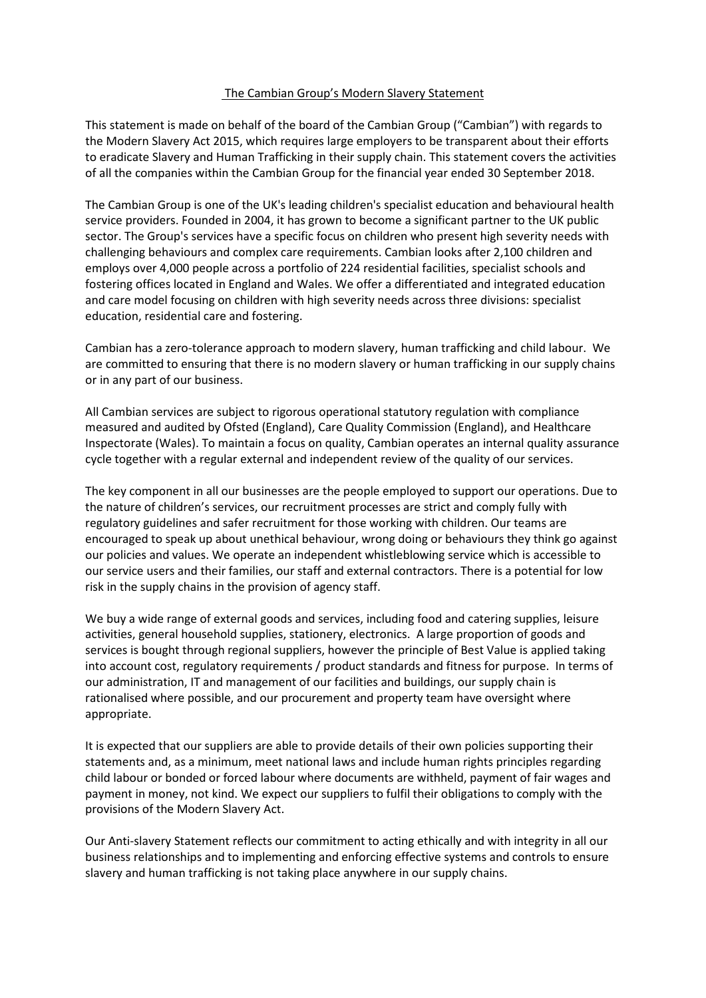## The Cambian Group's Modern Slavery Statement

This statement is made on behalf of the board of the Cambian Group ("Cambian") with regards to the Modern Slavery Act 2015, which requires large employers to be transparent about their efforts to eradicate Slavery and Human Trafficking in their supply chain. This statement covers the activities of all the companies within the Cambian Group for the financial year ended 30 September 2018.

The Cambian Group is one of the UK's leading children's specialist education and behavioural health service providers. Founded in 2004, it has grown to become a significant partner to the UK public sector. The Group's services have a specific focus on children who present high severity needs with challenging behaviours and complex care requirements. Cambian looks after 2,100 children and employs over 4,000 people across a portfolio of 224 residential facilities, specialist schools and fostering offices located in England and Wales. We offer a differentiated and integrated education and care model focusing on children with high severity needs across three divisions: specialist education, residential care and fostering.

Cambian has a zero-tolerance approach to modern slavery, human trafficking and child labour. We are committed to ensuring that there is no modern slavery or human trafficking in our supply chains or in any part of our business.

All Cambian services are subject to rigorous operational statutory regulation with compliance measured and audited by Ofsted (England), Care Quality Commission (England), and Healthcare Inspectorate (Wales). To maintain a focus on quality, Cambian operates an internal quality assurance cycle together with a regular external and independent review of the quality of our services.

The key component in all our businesses are the people employed to support our operations. Due to the nature of children's services, our recruitment processes are strict and comply fully with regulatory guidelines and safer recruitment for those working with children. Our teams are encouraged to speak up about unethical behaviour, wrong doing or behaviours they think go against our policies and values. We operate an independent whistleblowing service which is accessible to our service users and their families, our staff and external contractors. There is a potential for low risk in the supply chains in the provision of agency staff.

We buy a wide range of external goods and services, including food and catering supplies, leisure activities, general household supplies, stationery, electronics. A large proportion of goods and services is bought through regional suppliers, however the principle of Best Value is applied taking into account cost, regulatory requirements / product standards and fitness for purpose. In terms of our administration, IT and management of our facilities and buildings, our supply chain is rationalised where possible, and our procurement and property team have oversight where appropriate.

It is expected that our suppliers are able to provide details of their own policies supporting their statements and, as a minimum, meet national laws and include human rights principles regarding child labour or bonded or forced labour where documents are withheld, payment of fair wages and payment in money, not kind. We expect our suppliers to fulfil their obligations to comply with the provisions of the Modern Slavery Act.

Our Anti-slavery Statement reflects our commitment to acting ethically and with integrity in all our business relationships and to implementing and enforcing effective systems and controls to ensure slavery and human trafficking is not taking place anywhere in our supply chains.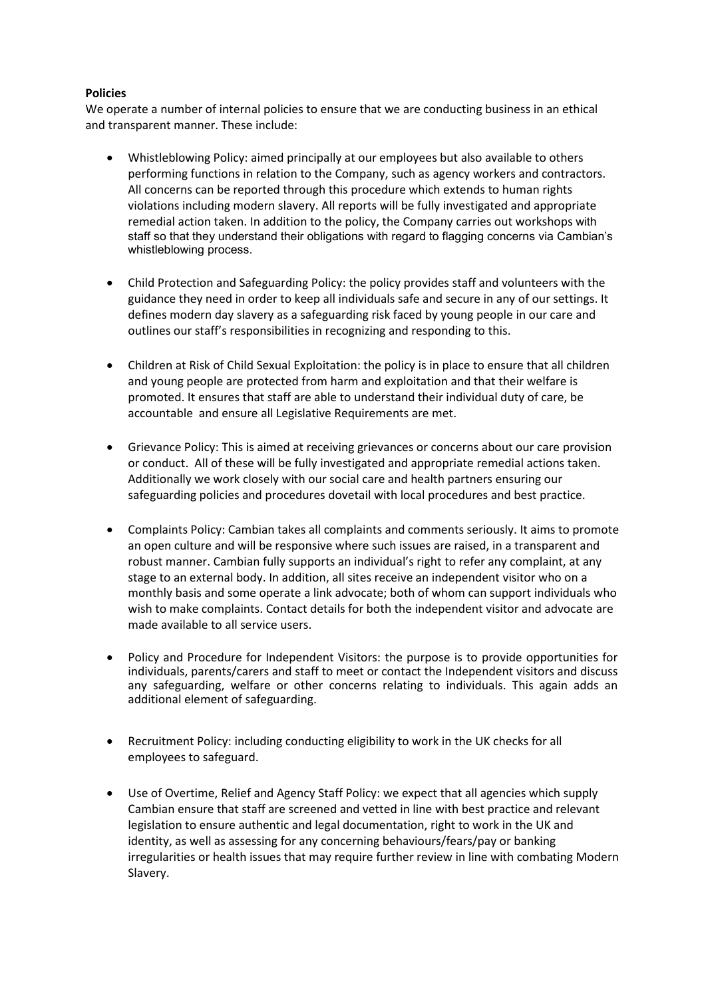# **Policies**

We operate a number of internal policies to ensure that we are conducting business in an ethical and transparent manner. These include:

- Whistleblowing Policy: aimed principally at our employees but also available to others performing functions in relation to the Company, such as agency workers and contractors. All concerns can be reported through this procedure which extends to human rights violations including modern slavery. All reports will be fully investigated and appropriate remedial action taken. In addition to the policy, the Company carries out workshops with staff so that they understand their obligations with regard to flagging concerns via Cambian's whistleblowing process.
- Child Protection and Safeguarding Policy: the policy provides staff and volunteers with the guidance they need in order to keep all individuals safe and secure in any of our settings. It defines modern day slavery as a safeguarding risk faced by young people in our care and outlines our staff's responsibilities in recognizing and responding to this.
- Children at Risk of Child Sexual Exploitation: the policy is in place to ensure that all children and young people are protected from harm and exploitation and that their welfare is promoted. It ensures that staff are able to understand their individual duty of care, be accountable and ensure all Legislative Requirements are met.
- Grievance Policy: This is aimed at receiving grievances or concerns about our care provision or conduct. All of these will be fully investigated and appropriate remedial actions taken. Additionally we work closely with our social care and health partners ensuring our safeguarding policies and procedures dovetail with local procedures and best practice.
- Complaints Policy: Cambian takes all complaints and comments seriously. It aims to promote an open culture and will be responsive where such issues are raised, in a transparent and robust manner. Cambian fully supports an individual's right to refer any complaint, at any stage to an external body. In addition, all sites receive an independent visitor who on a monthly basis and some operate a link advocate; both of whom can support individuals who wish to make complaints. Contact details for both the independent visitor and advocate are made available to all service users.
- Policy and Procedure for Independent Visitors: the purpose is to provide opportunities for individuals, parents/carers and staff to meet or contact the Independent visitors and discuss any safeguarding, welfare or other concerns relating to individuals. This again adds an additional element of safeguarding.
- Recruitment Policy: including conducting eligibility to work in the UK checks for all employees to safeguard.
- Use of Overtime, Relief and Agency Staff Policy: we expect that all agencies which supply Cambian ensure that staff are screened and vetted in line with best practice and relevant legislation to ensure authentic and legal documentation, right to work in the UK and identity, as well as assessing for any concerning behaviours/fears/pay or banking irregularities or health issues that may require further review in line with combating Modern Slavery.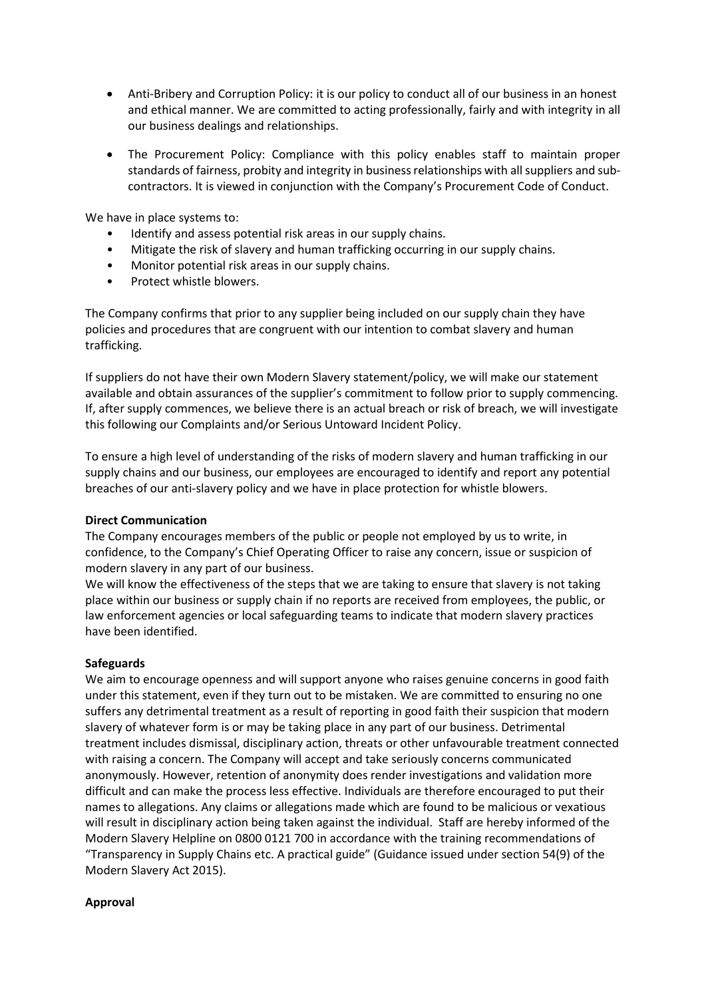- Anti-Bribery and Corruption Policy: it is our policy to conduct all of our business in an honest and ethical manner. We are committed to acting professionally, fairly and with integrity in all our business dealings and relationships.
- The Procurement Policy: Compliance with this policy enables staff to maintain proper standards of fairness, probity and integrity in business relationships with all suppliers and subcontractors. It is viewed in conjunction with the Company's Procurement Code of Conduct.

We have in place systems to:

- Identify and assess potential risk areas in our supply chains.
- Mitigate the risk of slavery and human trafficking occurring in our supply chains.
- Monitor potential risk areas in our supply chains.
- Protect whistle blowers.

The Company confirms that prior to any supplier being included on our supply chain they have policies and procedures that are congruent with our intention to combat slavery and human trafficking.

If suppliers do not have their own Modern Slavery statement/policy, we will make our statement available and obtain assurances of the supplier's commitment to follow prior to supply commencing. If, after supply commences, we believe there is an actual breach or risk of breach, we will investigate this following our Complaints and/or Serious Untoward Incident Policy.

To ensure a high level of understanding of the risks of modern slavery and human trafficking in our supply chains and our business, our employees are encouraged to identify and report any potential breaches of our anti-slavery policy and we have in place protection for whistle blowers.

## **Direct Communication**

The Company encourages members of the public or people not employed by us to write, in confidence, to the Company's Chief Operating Officer to raise any concern, issue or suspicion of modern slavery in any part of our business.

We will know the effectiveness of the steps that we are taking to ensure that slavery is not taking place within our business or supply chain if no reports are received from employees, the public, or law enforcement agencies or local safeguarding teams to indicate that modern slavery practices have been identified.

## **Safeguards**

We aim to encourage openness and will support anyone who raises genuine concerns in good faith under this statement, even if they turn out to be mistaken. We are committed to ensuring no one suffers any detrimental treatment as a result of reporting in good faith their suspicion that modern slavery of whatever form is or may be taking place in any part of our business. Detrimental treatment includes dismissal, disciplinary action, threats or other unfavourable treatment connected with raising a concern. The Company will accept and take seriously concerns communicated anonymously. However, retention of anonymity does render investigations and validation more difficult and can make the process less effective. Individuals are therefore encouraged to put their names to allegations. Any claims or allegations made which are found to be malicious or vexatious will result in disciplinary action being taken against the individual. Staff are hereby informed of the Modern Slavery Helpline on 0800 0121 700 in accordance with the training recommendations of "Transparency in Supply Chains etc. A practical guide" (Guidance issued under section 54(9) of the Modern Slavery Act 2015).

## **Approval**